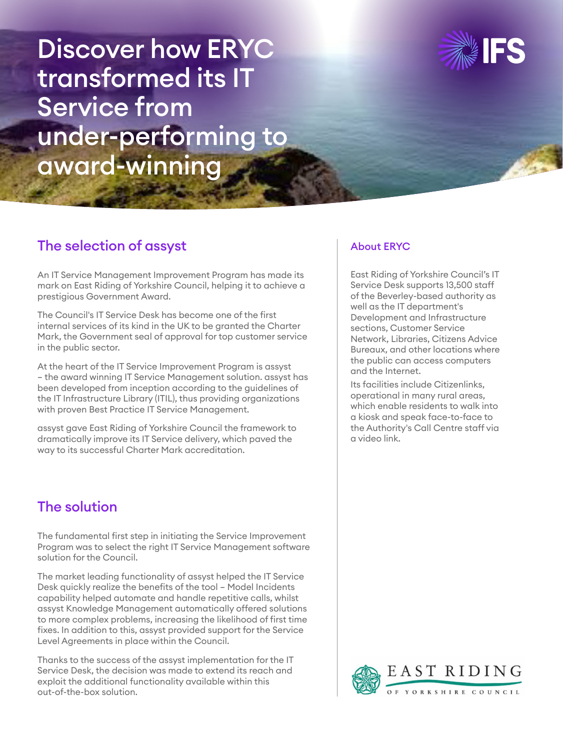Discover how ERYC transformed its IT Service from under-performing to award-winning



## The selection of assyst

An IT Service Management Improvement Program has made its mark on East Riding of Yorkshire Council, helping it to achieve a prestigious Government Award.

The Council's IT Service Desk has become one of the first internal services of its kind in the UK to be granted the Charter Mark, the Government seal of approval for top customer service in the public sector.

At the heart of the IT Service Improvement Program is assyst – the award winning IT Service Management solution. assyst has been developed from inception according to the guidelines of the IT Infrastructure Library (ITIL), thus providing organizations with proven Best Practice IT Service Management.

assyst gave East Riding of Yorkshire Council the framework to dramatically improve its IT Service delivery, which paved the way to its successful Charter Mark accreditation.

# The solution

The fundamental first step in initiating the Service Improvement Program was to select the right IT Service Management software solution for the Council.

The market leading functionality of assyst helped the IT Service Desk quickly realize the benefits of the tool – Model Incidents capability helped automate and handle repetitive calls, whilst assyst Knowledge Management automatically offered solutions to more complex problems, increasing the likelihood of first time fixes. In addition to this, assyst provided support for the Service Level Agreements in place within the Council.

Thanks to the success of the assyst implementation for the IT Service Desk, the decision was made to extend its reach and exploit the additional functionality available within this out-of-the-box solution.

#### About ERYC

East Riding of Yorkshire Council's IT Service Desk supports 13,500 staff of the Beverley-based authority as well as the IT department's Development and Infrastructure sections, Customer Service Network, Libraries, Citizens Advice Bureaux, and other locations where the public can access computers and the Internet.

Its facilities include Citizenlinks, operational in many rural areas, which enable residents to walk into a kiosk and speak face-to-face to the Authority's Call Centre staff via a video link.